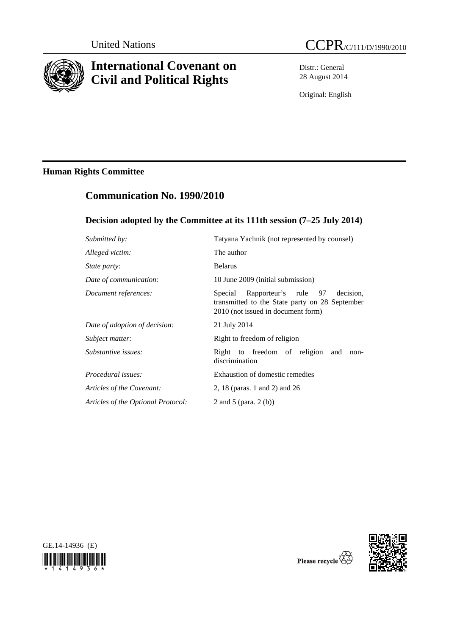

# **International Covenant on Civil and Political Rights**

Distr.: General 28 August 2014

Original: English

## **Human Rights Committee**

## **Communication No. 1990/2010**

## **Decision adopted by the Committee at its 111th session (7–25 July 2014)**

| Submitted by:                      | Tatyana Yachnik (not represented by counsel)                                                                                         |
|------------------------------------|--------------------------------------------------------------------------------------------------------------------------------------|
| Alleged victim:                    | The author                                                                                                                           |
| <i>State party:</i>                | <b>Belarus</b>                                                                                                                       |
| Date of communication:             | 10 June 2009 (initial submission)                                                                                                    |
| Document references:               | Rapporteur's rule 97<br>decision.<br>Special<br>transmitted to the State party on 28 September<br>2010 (not issued in document form) |
| Date of adoption of decision:      | 21 July 2014                                                                                                                         |
| Subject matter:                    | Right to freedom of religion                                                                                                         |
| Substantive issues:                | Right to freedom of religion and<br>non-<br>discrimination                                                                           |
| Procedural issues:                 | Exhaustion of domestic remedies                                                                                                      |
| Articles of the Covenant:          | 2, 18 (paras. 1 and 2) and 26                                                                                                        |
| Articles of the Optional Protocol: | 2 and 5 (para. $2(b)$ )                                                                                                              |





Please recycle  $\overleftrightarrow{C}$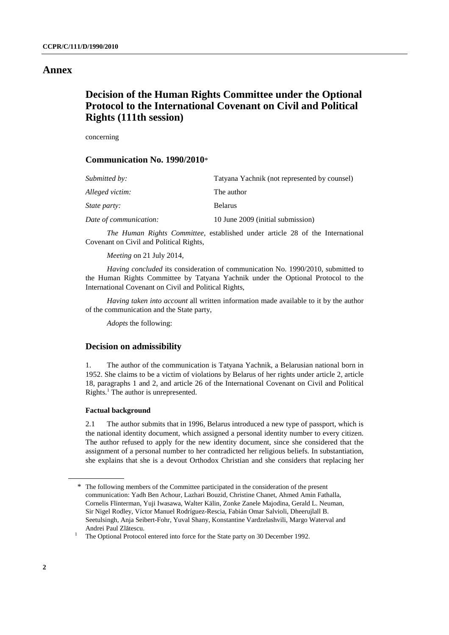### **Annex**

## **Decision of the Human Rights Committee under the Optional Protocol to the International Covenant on Civil and Political Rights (111th session)**

concerning

#### **Communication No. 1990/2010**\*

| Submitted by:          | Tatyana Yachnik (not represented by counsel) |
|------------------------|----------------------------------------------|
| Alleged victim:        | The author                                   |
| <i>State party:</i>    | <b>Belarus</b>                               |
| Date of communication: | 10 June 2009 (initial submission)            |

*The Human Rights Committee*, established under article 28 of the International Covenant on Civil and Political Rights,

*Meeting* on 21 July 2014,

*Having concluded* its consideration of communication No. 1990/2010, submitted to the Human Rights Committee by Tatyana Yachnik under the Optional Protocol to the International Covenant on Civil and Political Rights,

*Having taken into account* all written information made available to it by the author of the communication and the State party,

*Adopts* the following:

#### **Decision on admissibility**

1. The author of the communication is Tatyana Yachnik, a Belarusian national born in 1952. She claims to be a victim of violations by Belarus of her rights under article 2, article 18, paragraphs 1 and 2, and article 26 of the International Covenant on Civil and Political Rights.<sup>1</sup> The author is unrepresented.

#### **Factual background**

2.1 The author submits that in 1996, Belarus introduced a new type of passport, which is the national identity document, which assigned a personal identity number to every citizen. The author refused to apply for the new identity document, since she considered that the assignment of a personal number to her contradicted her religious beliefs. In substantiation, she explains that she is a devout Orthodox Christian and she considers that replacing her

<sup>\*</sup> The following members of the Committee participated in the consideration of the present communication: Yadh Ben Achour, Lazhari Bouzid, Christine Chanet, Ahmed Amin Fathalla, Cornelis Flinterman, Yuji Iwasawa, Walter Kälin, Zonke Zanele Majodina, Gerald L. Neuman, Sir Nigel Rodley, Víctor Manuel Rodríguez-Rescia, Fabián Omar Salvioli, Dheerujlall B. Seetulsingh, Anja Seibert-Fohr, Yuval Shany, Konstantine Vardzelashvili, Margo Waterval and Andrei Paul Zlătescu.<br><sup>1</sup> The Optional Protocol

The Optional Protocol entered into force for the State party on 30 December 1992.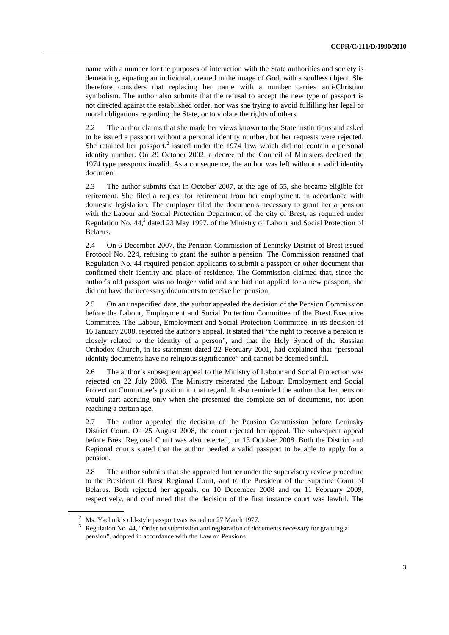name with a number for the purposes of interaction with the State authorities and society is demeaning, equating an individual, created in the image of God, with a soulless object. She therefore considers that replacing her name with a number carries anti-Christian symbolism. The author also submits that the refusal to accept the new type of passport is not directed against the established order, nor was she trying to avoid fulfilling her legal or moral obligations regarding the State, or to violate the rights of others.

2.2 The author claims that she made her views known to the State institutions and asked to be issued a passport without a personal identity number, but her requests were rejected. She retained her passport,<sup>2</sup> issued under the 1974 law, which did not contain a personal identity number. On 29 October 2002, a decree of the Council of Ministers declared the 1974 type passports invalid. As a consequence, the author was left without a valid identity document.

2.3 The author submits that in October 2007, at the age of 55, she became eligible for retirement. She filed a request for retirement from her employment, in accordance with domestic legislation. The employer filed the documents necessary to grant her a pension with the Labour and Social Protection Department of the city of Brest, as required under Regulation No.  $44<sup>3</sup>$  dated 23 May 1997, of the Ministry of Labour and Social Protection of Belarus.

2.4 On 6 December 2007, the Pension Commission of Leninsky District of Brest issued Protocol No. 224, refusing to grant the author a pension. The Commission reasoned that Regulation No. 44 required pension applicants to submit a passport or other document that confirmed their identity and place of residence. The Commission claimed that, since the author's old passport was no longer valid and she had not applied for a new passport, she did not have the necessary documents to receive her pension.

2.5 On an unspecified date, the author appealed the decision of the Pension Commission before the Labour, Employment and Social Protection Committee of the Brest Executive Committee. The Labour, Employment and Social Protection Committee, in its decision of 16 January 2008, rejected the author's appeal. It stated that "the right to receive a pension is closely related to the identity of a person", and that the Holy Synod of the Russian Orthodox Church, in its statement dated 22 February 2001, had explained that "personal identity documents have no religious significance" and cannot be deemed sinful.

2.6 The author's subsequent appeal to the Ministry of Labour and Social Protection was rejected on 22 July 2008. The Ministry reiterated the Labour, Employment and Social Protection Committee's position in that regard. It also reminded the author that her pension would start accruing only when she presented the complete set of documents, not upon reaching a certain age.

2.7 The author appealed the decision of the Pension Commission before Leninsky District Court. On 25 August 2008, the court rejected her appeal. The subsequent appeal before Brest Regional Court was also rejected, on 13 October 2008. Both the District and Regional courts stated that the author needed a valid passport to be able to apply for a pension.

2.8 The author submits that she appealed further under the supervisory review procedure to the President of Brest Regional Court, and to the President of the Supreme Court of Belarus. Both rejected her appeals, on 10 December 2008 and on 11 February 2009, respectively, and confirmed that the decision of the first instance court was lawful. The

<sup>&</sup>lt;sup>2</sup> Ms. Yachnik's old-style passport was issued on 27 March 1977.<br><sup>3</sup> Pequlation No. 44. "Order on submission and registration of dog

Regulation No. 44, "Order on submission and registration of documents necessary for granting a pension", adopted in accordance with the Law on Pensions.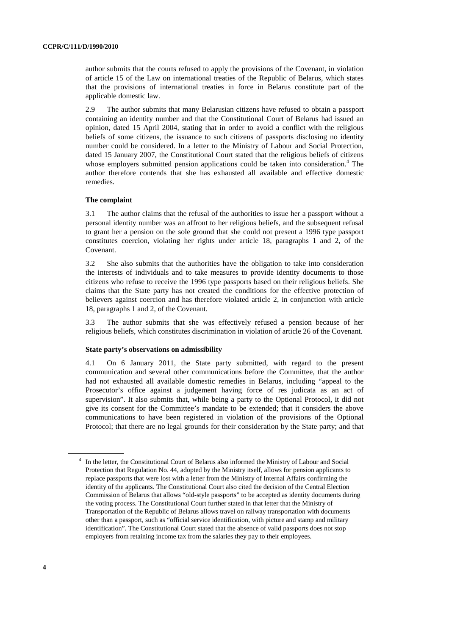author submits that the courts refused to apply the provisions of the Covenant, in violation of article 15 of the Law on international treaties of the Republic of Belarus, which states that the provisions of international treaties in force in Belarus constitute part of the applicable domestic law.

2.9 The author submits that many Belarusian citizens have refused to obtain a passport containing an identity number and that the Constitutional Court of Belarus had issued an opinion, dated 15 April 2004, stating that in order to avoid a conflict with the religious beliefs of some citizens, the issuance to such citizens of passports disclosing no identity number could be considered. In a letter to the Ministry of Labour and Social Protection, dated 15 January 2007, the Constitutional Court stated that the religious beliefs of citizens whose employers submitted pension applications could be taken into consideration.<sup>4</sup> The author therefore contends that she has exhausted all available and effective domestic remedies.

#### **The complaint**

3.1 The author claims that the refusal of the authorities to issue her a passport without a personal identity number was an affront to her religious beliefs, and the subsequent refusal to grant her a pension on the sole ground that she could not present a 1996 type passport constitutes coercion, violating her rights under article 18, paragraphs 1 and 2, of the Covenant.

3.2 She also submits that the authorities have the obligation to take into consideration the interests of individuals and to take measures to provide identity documents to those citizens who refuse to receive the 1996 type passports based on their religious beliefs. She claims that the State party has not created the conditions for the effective protection of believers against coercion and has therefore violated article 2, in conjunction with article 18, paragraphs 1 and 2, of the Covenant.

3.3 The author submits that she was effectively refused a pension because of her religious beliefs, which constitutes discrimination in violation of article 26 of the Covenant.

#### **State party's observations on admissibility**

4.1 On 6 January 2011, the State party submitted, with regard to the present communication and several other communications before the Committee, that the author had not exhausted all available domestic remedies in Belarus, including "appeal to the Prosecutor's office against a judgement having force of res judicata as an act of supervision". It also submits that, while being a party to the Optional Protocol, it did not give its consent for the Committee's mandate to be extended; that it considers the above communications to have been registered in violation of the provisions of the Optional Protocol; that there are no legal grounds for their consideration by the State party; and that

<sup>4</sup> In the letter, the Constitutional Court of Belarus also informed the Ministry of Labour and Social Protection that Regulation No. 44, adopted by the Ministry itself, allows for pension applicants to replace passports that were lost with a letter from the Ministry of Internal Affairs confirming the identity of the applicants. The Constitutional Court also cited the decision of the Central Election Commission of Belarus that allows "old-style passports" to be accepted as identity documents during the voting process. The Constitutional Court further stated in that letter that the Ministry of Transportation of the Republic of Belarus allows travel on railway transportation with documents other than a passport, such as "official service identification, with picture and stamp and military identification". The Constitutional Court stated that the absence of valid passports does not stop employers from retaining income tax from the salaries they pay to their employees.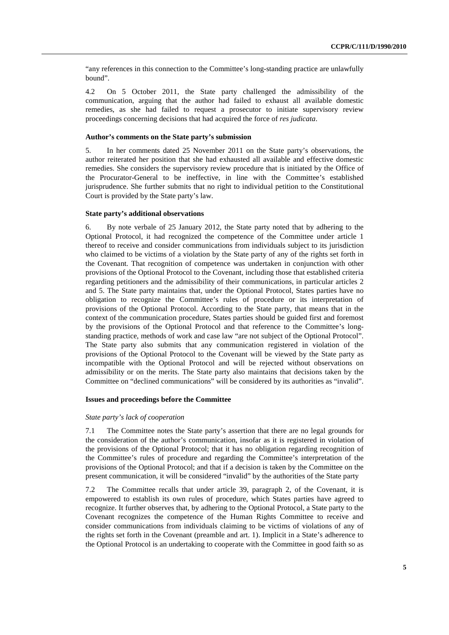"any references in this connection to the Committee's long-standing practice are unlawfully bound".

4.2 On 5 October 2011, the State party challenged the admissibility of the communication, arguing that the author had failed to exhaust all available domestic remedies, as she had failed to request a prosecutor to initiate supervisory review proceedings concerning decisions that had acquired the force of *res judicata*.

#### **Author's comments on the State party's submission**

5. In her comments dated 25 November 2011 on the State party's observations, the author reiterated her position that she had exhausted all available and effective domestic remedies. She considers the supervisory review procedure that is initiated by the Office of the Procurator-General to be ineffective, in line with the Committee's established jurisprudence. She further submits that no right to individual petition to the Constitutional Court is provided by the State party's law.

#### **State party's additional observations**

6. By note verbale of 25 January 2012, the State party noted that by adhering to the Optional Protocol, it had recognized the competence of the Committee under article 1 thereof to receive and consider communications from individuals subject to its jurisdiction who claimed to be victims of a violation by the State party of any of the rights set forth in the Covenant. That recognition of competence was undertaken in conjunction with other provisions of the Optional Protocol to the Covenant, including those that established criteria regarding petitioners and the admissibility of their communications, in particular articles 2 and 5. The State party maintains that, under the Optional Protocol, States parties have no obligation to recognize the Committee's rules of procedure or its interpretation of provisions of the Optional Protocol. According to the State party, that means that in the context of the communication procedure, States parties should be guided first and foremost by the provisions of the Optional Protocol and that reference to the Committee's longstanding practice, methods of work and case law "are not subject of the Optional Protocol". The State party also submits that any communication registered in violation of the provisions of the Optional Protocol to the Covenant will be viewed by the State party as incompatible with the Optional Protocol and will be rejected without observations on admissibility or on the merits. The State party also maintains that decisions taken by the Committee on "declined communications" will be considered by its authorities as "invalid".

#### **Issues and proceedings before the Committee**

#### *State party's lack of cooperation*

7.1 The Committee notes the State party's assertion that there are no legal grounds for the consideration of the author's communication, insofar as it is registered in violation of the provisions of the Optional Protocol; that it has no obligation regarding recognition of the Committee's rules of procedure and regarding the Committee's interpretation of the provisions of the Optional Protocol; and that if a decision is taken by the Committee on the present communication, it will be considered "invalid" by the authorities of the State party

7.2 The Committee recalls that under article 39, paragraph 2, of the Covenant, it is empowered to establish its own rules of procedure, which States parties have agreed to recognize. It further observes that, by adhering to the Optional Protocol, a State party to the Covenant recognizes the competence of the Human Rights Committee to receive and consider communications from individuals claiming to be victims of violations of any of the rights set forth in the Covenant (preamble and art. 1). Implicit in a State's adherence to the Optional Protocol is an undertaking to cooperate with the Committee in good faith so as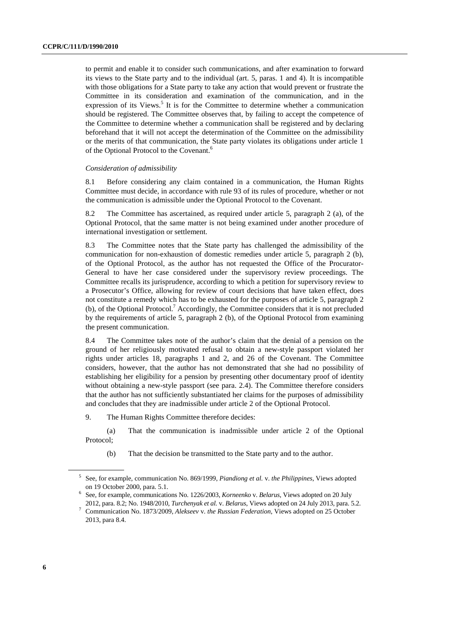to permit and enable it to consider such communications, and after examination to forward its views to the State party and to the individual (art. 5, paras. 1 and 4). It is incompatible with those obligations for a State party to take any action that would prevent or frustrate the Committee in its consideration and examination of the communication, and in the expression of its Views.<sup>5</sup> It is for the Committee to determine whether a communication should be registered. The Committee observes that, by failing to accept the competence of the Committee to determine whether a communication shall be registered and by declaring beforehand that it will not accept the determination of the Committee on the admissibility or the merits of that communication, the State party violates its obligations under article 1 of the Optional Protocol to the Covenant.<sup>6</sup>

#### *Consideration of admissibility*

8.1 Before considering any claim contained in a communication, the Human Rights Committee must decide, in accordance with rule 93 of its rules of procedure, whether or not the communication is admissible under the Optional Protocol to the Covenant.

8.2 The Committee has ascertained, as required under article 5, paragraph 2 (a), of the Optional Protocol, that the same matter is not being examined under another procedure of international investigation or settlement.

8.3 The Committee notes that the State party has challenged the admissibility of the communication for non-exhaustion of domestic remedies under article 5, paragraph 2 (b), of the Optional Protocol, as the author has not requested the Office of the Procurator-General to have her case considered under the supervisory review proceedings. The Committee recalls its jurisprudence, according to which a petition for supervisory review to a Prosecutor's Office, allowing for review of court decisions that have taken effect, does not constitute a remedy which has to be exhausted for the purposes of article 5, paragraph 2 (b), of the Optional Protocol.<sup>7</sup> Accordingly, the Committee considers that it is not precluded by the requirements of article 5, paragraph 2 (b), of the Optional Protocol from examining the present communication.

8.4 The Committee takes note of the author's claim that the denial of a pension on the ground of her religiously motivated refusal to obtain a new-style passport violated her rights under articles 18, paragraphs 1 and 2, and 26 of the Covenant. The Committee considers, however, that the author has not demonstrated that she had no possibility of establishing her eligibility for a pension by presenting other documentary proof of identity without obtaining a new-style passport (see para. 2.4). The Committee therefore considers that the author has not sufficiently substantiated her claims for the purposes of admissibility and concludes that they are inadmissible under article 2 of the Optional Protocol.

9. The Human Rights Committee therefore decides:

(a) That the communication is inadmissible under article 2 of the Optional Protocol;

(b) That the decision be transmitted to the State party and to the author.

<sup>5</sup> See, for example, communication No. 869/1999, *Piandiong et al.* v. *the Philippines*, Views adopted

on 19 October 2000, para. 5.1. 6 See, for example, communications No. 1226/2003, *Korneenko* v. *Belarus*, Views adopted on 20 July 2012, para. 8.2; No. 1948/2010, *Turchenyak et al.* v. *Belarus*, Views adopted on 24 July 2013, para. 5.2. 7

Communication No. 1873/2009, *Alekseev* v. *the Russian Federation*, Views adopted on 25 October 2013, para 8.4.